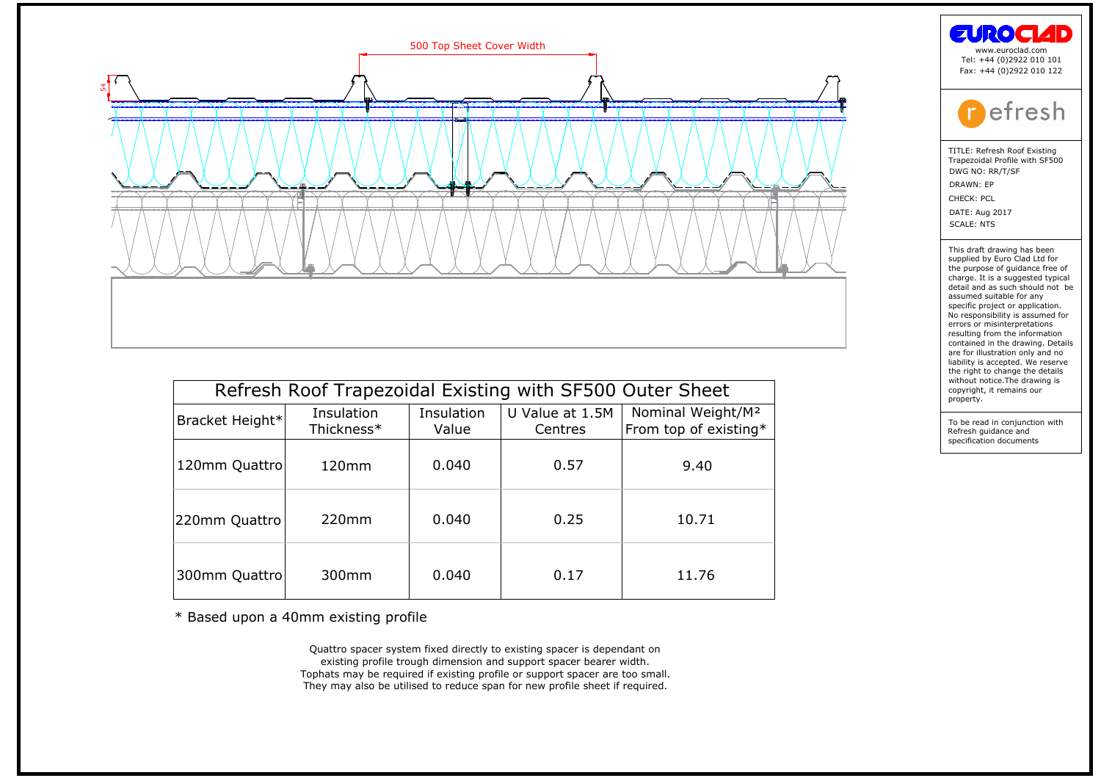

| Refresh Roof Trapezoidal Existing with SF500 Outer Sheet                                                                                                                                                                      |            |            |                 |                               |  |  |  |  |
|-------------------------------------------------------------------------------------------------------------------------------------------------------------------------------------------------------------------------------|------------|------------|-----------------|-------------------------------|--|--|--|--|
| Bracket Height*                                                                                                                                                                                                               | Insulation | Insulation | U Value at 1.5M | Nominal Weight/M <sup>2</sup> |  |  |  |  |
|                                                                                                                                                                                                                               | Thickness* | Value      | Centres         | From top of existing*         |  |  |  |  |
| 120mm Quattro                                                                                                                                                                                                                 | 120mm      | 0.040      | 0.57            | 9.40                          |  |  |  |  |
| 220mm Quattro                                                                                                                                                                                                                 | 220mm      | 0.040      | 0.25            | 10.71                         |  |  |  |  |
| 300mm Quattro                                                                                                                                                                                                                 | 300mm      | 0.040      | 0.17            | 11.76                         |  |  |  |  |
| * Based upon a 40mm existing profile                                                                                                                                                                                          |            |            |                 |                               |  |  |  |  |
| Quattro spacer system fixed directly to existing spacer is dependant on<br>existing profile trough dimension and support spacer bearer width.<br>Tophats may be required if existing profile or support spacer are too small. |            |            |                 |                               |  |  |  |  |

|                                                                          | No di                                                                                                                                                                                                                                                                                                                                                                                                                                                                                                                                                          |  |  |  |  |  |
|--------------------------------------------------------------------------|----------------------------------------------------------------------------------------------------------------------------------------------------------------------------------------------------------------------------------------------------------------------------------------------------------------------------------------------------------------------------------------------------------------------------------------------------------------------------------------------------------------------------------------------------------------|--|--|--|--|--|
| www.euroclad.com<br>Tel: +44 (0)2922 010 101<br>Fax: +44 (0)2922 010 122 |                                                                                                                                                                                                                                                                                                                                                                                                                                                                                                                                                                |  |  |  |  |  |
|                                                                          | <b>P</b> efresh                                                                                                                                                                                                                                                                                                                                                                                                                                                                                                                                                |  |  |  |  |  |
| DRAWN: FP                                                                | TITLE: Refresh Roof Existing<br>Trapezoidal Profile with SF500<br>DWG NO: RR/T/SF                                                                                                                                                                                                                                                                                                                                                                                                                                                                              |  |  |  |  |  |
| CHECK: PCL<br><b>SCALE: NTS</b>                                          | DATE: Aug 2017                                                                                                                                                                                                                                                                                                                                                                                                                                                                                                                                                 |  |  |  |  |  |
| property.                                                                | This draft drawing has been<br>supplied by Euro Clad Ltd for<br>the purpose of quidance free of<br>charge. It is a suggested typical<br>detail and as such should not be<br>assumed suitable for any<br>specific project or application.<br>No responsibility is assumed for<br>errors or misinterpretations<br>resulting from the information<br>contained in the drawing. Details<br>are for illustration only and no<br>liability is accepted. We reserve<br>the right to change the details<br>without notice. The drawing is<br>copyright, it remains our |  |  |  |  |  |
|                                                                          | To be read in conjunction with<br>Refresh guidance and<br>specification documents                                                                                                                                                                                                                                                                                                                                                                                                                                                                              |  |  |  |  |  |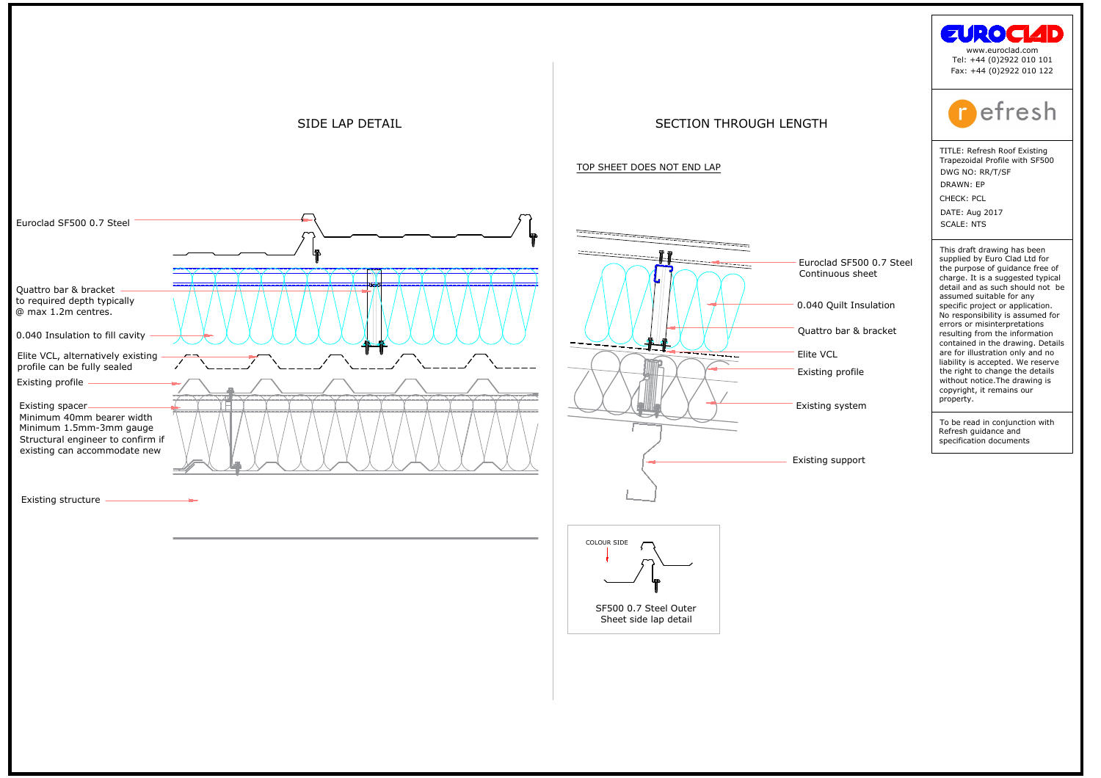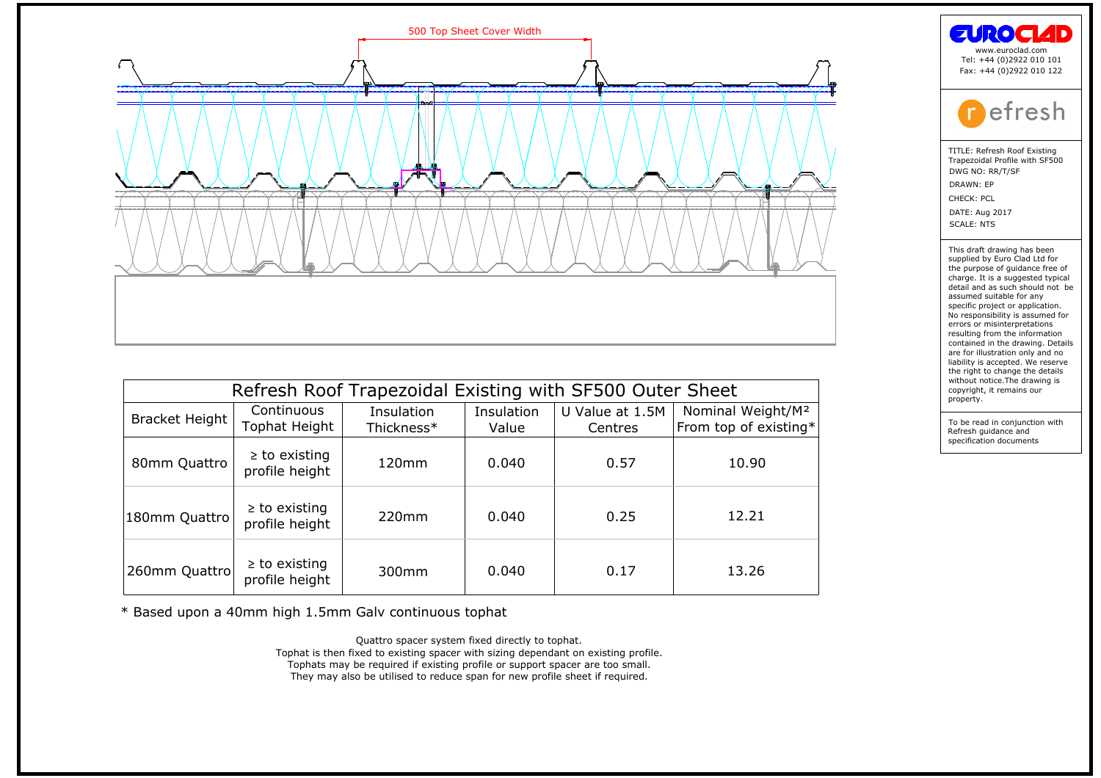

| Refresh Roof Trapezoidal Existing with SF500 Outer Sheet                                                                              |                                      |                   |            |                 |                               |  |  |
|---------------------------------------------------------------------------------------------------------------------------------------|--------------------------------------|-------------------|------------|-----------------|-------------------------------|--|--|
| <b>Bracket Height</b>                                                                                                                 | Continuous                           | Insulation        | Insulation | U Value at 1.5M | Nominal Weight/M <sup>2</sup> |  |  |
|                                                                                                                                       | Tophat Height                        | Thickness*        | Value      | Centres         | From top of existing*         |  |  |
| 80mm Quattro                                                                                                                          | $\geq$ to existing<br>profile height | $120$ mm          | 0.040      | 0.57            | 10.90                         |  |  |
| 180mm Quattro                                                                                                                         | $\geq$ to existing<br>profile height | 220mm             | 0.040      | 0.25            | 12.21                         |  |  |
| 260mm Quattro                                                                                                                         | $\geq$ to existing<br>profile height | 300 <sub>mm</sub> | 0.040      | 0.17            | 13.26                         |  |  |
| * Based upon a 40mm high 1.5mm Galy continuous tophat                                                                                 |                                      |                   |            |                 |                               |  |  |
| Quattro spacer system fixed directly to tophat.<br>Tophat is then fixed to existing spacer with sizing dependant on existing profile. |                                      |                   |            |                 |                               |  |  |

\* Based upon a 40mm high 1.5mm Galv continuous tophat<br>Quattro spacer system fixed directly to tophat.<br>Tophat is then fixed to existing spacer with sizing dependant on existing profile.<br>Tophats may be required if existing p

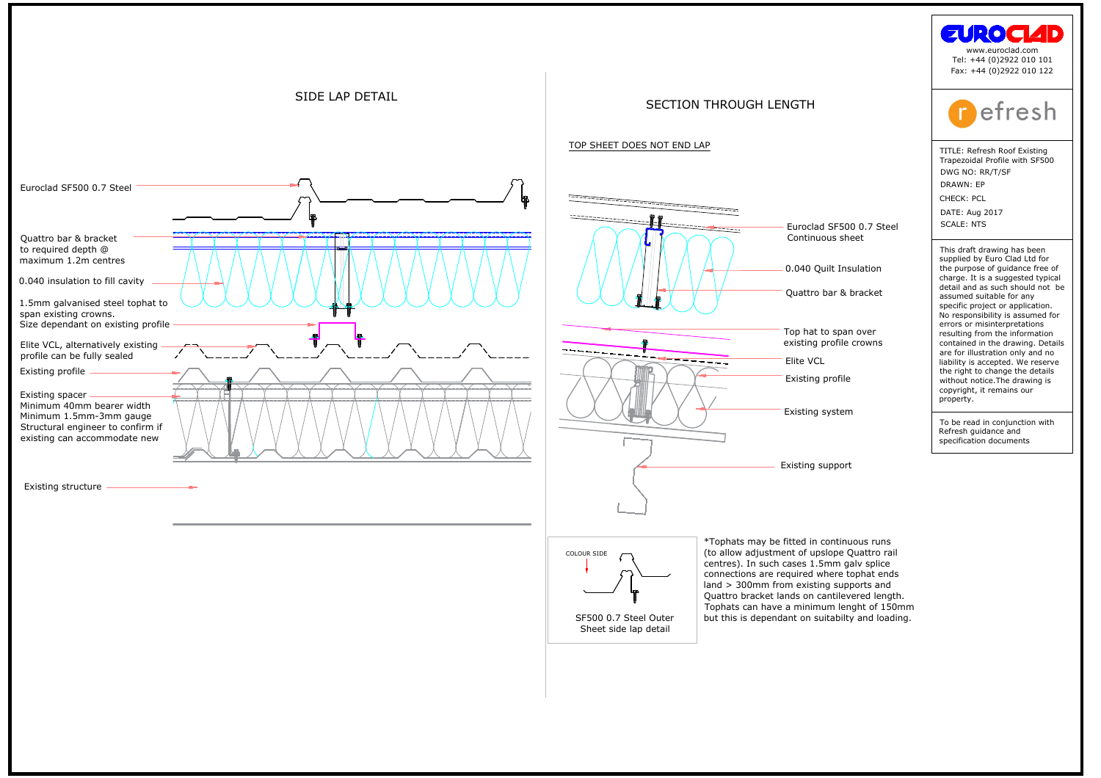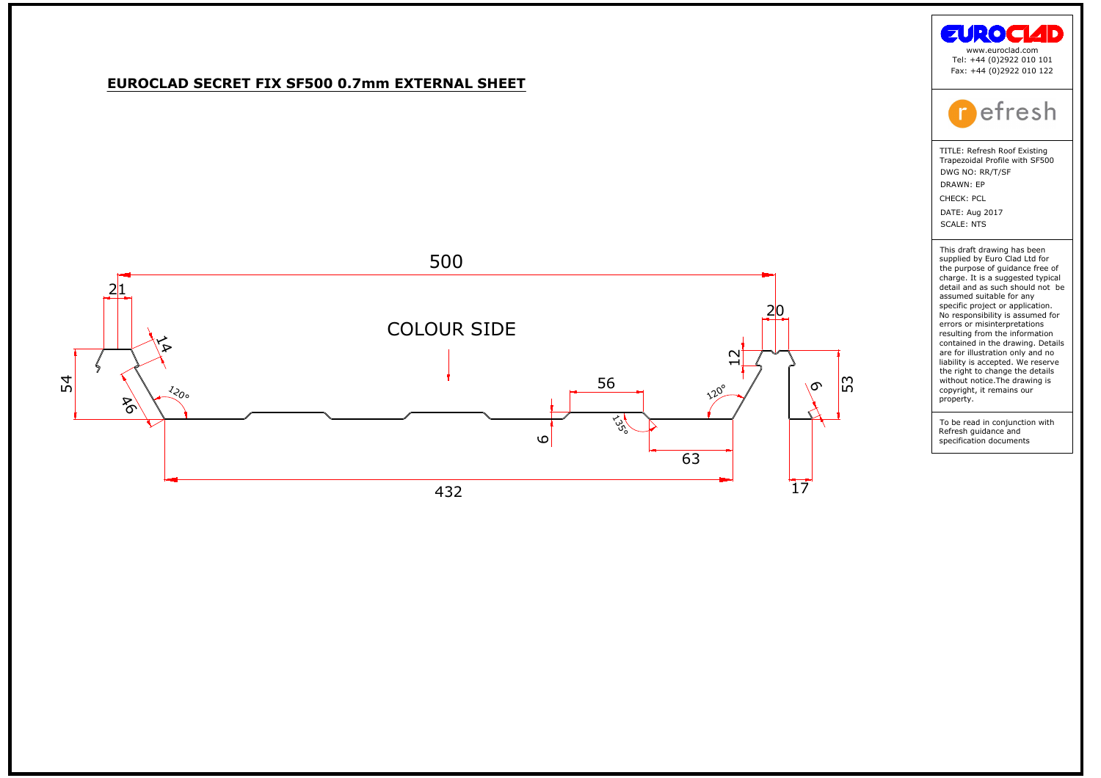